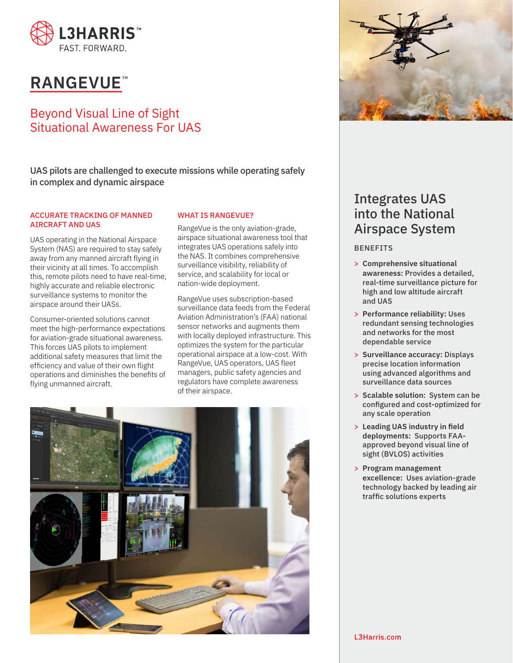

# **RANGEVUE**<sup>\*</sup>

### Beyond Visual Line of Sight Situational Awareness For UAS

UAS pilots are challenged to execute missions while operating safely in complex and dynamic airspace

#### ACCURATE TRACKING OF MANNED AIRCRAFT AND UAS

UAS operating in the National Airspace System (NAS) are required to stay safely away from any manned aircraft flying in their vicinity at all times. To accomplish this, remote pilots need to have real-time, highly accurate and reliable electronic surveillance systems to monitor the airspace around their UASs.

Consumer-oriented solutions cannot meet the high-performance expectations for aviation-grade situational awareness. This forces UAS pilots to implement additional safety measures that limit the efficiency and value of their own flight operations and diminishes the benefits of flying unmanned aircraft.

### WHAT IS RANGEVUE?

RangeVue is the only aviation-grade, airspace situational awareness tool that integrates UAS operations safely into the NAS. It combines comprehensive surveillance visibility, reliability of service, and scalability for local or nation-wide deployment.

RangeVue uses subscription-based surveillance data feeds from the Federal Aviation Administration's (FAA) national sensor networks and augments them with locally deployed infrastructure. This optimizes the system for the particular operational airspace at a low-cost. With RangeVue, UAS operators, UAS fleet managers, public safety agencies and regulators have complete awareness of their airspace.





## Integrates UAS into the National Airspace System

#### BENEFITS

- > **Comprehensive situational awareness:** Provides a detailed, real-time surveillance picture for high and low altitude aircraft and UAS
- > **Performance reliability:** Uses redundant sensing technologies and networks for the most dependable service
- > **Surveillance accuracy:** Displays precise location information using advanced algorithms and surveillance data sources
- > **Scalable solution:** System can be configured and cost-optimized for any scale operation
- > **Leading UAS industry in field deployments:** Supports FAAapproved beyond visual line of sight (BVLOS) activities
- > **Program management excellence:** Uses aviation-grade technology backed by leading air traffic solutions experts